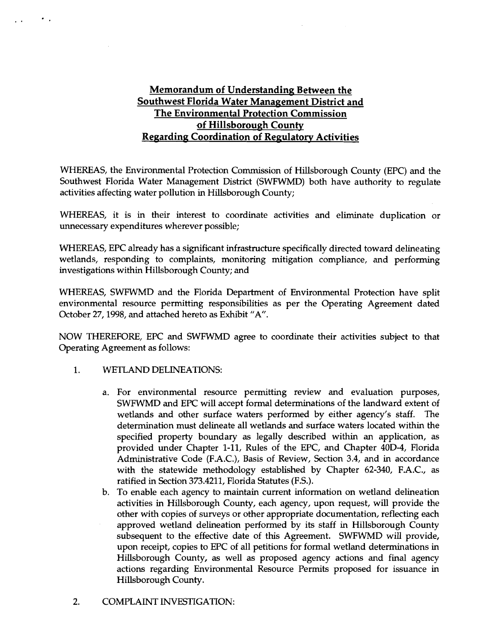### **Memorandum of Understanding Between the Southwest Florida Water Management District and The Environmental Protection Commission**   $of$  Hillsborough County **Regarding Coordination of Regulatory Activities**

WHEREAS, the Environmental Protection Commission of Hillsborough County (EPC) and the Southwest Florida Water Management District (SWFWMD) both have authority to regulate activities affecting water pollution in Hillsborough County;

WHEREAS, it is in their interest to coordinate activities and eliminate duplication or unnecessary expenditures wherever possible;

WHEREAS, EPC already has a significant infrastructure specifically directed toward delineating wetlands, responding to complaints, monitoring mitigation compliance, and performing investigations within Hillsborough County; and

WHEREAS, SWFWMD and the Florida Department of Environmental Protection have split environmental resource permitting responsibilities as per the Operating Agreement dated October 27,1998, and attached hereto as Exhibit "A".

NOW THEREFORE, EPC and SWFWMD agree to coordinate their activities subject to that Operating Agreement as follows:

1. WETLAND DELINEATIONS:

 $\bullet$  .

- a. For environmental resource permitting review and evaluation purposes, SWFWMD and EPC will accept formal determinations of the landward extent of wetlands and other surface waters performed by either agency's staff. The determination must delineate all wetlands and surface waters located within the specified property boundary as legally described within an application, as provided under Chapter 1-11, Rules of the EPC, and Chapter 40D-4, Florida Administrative Code (F.A.C.), Basis of Review, Section 3.4, and in accordance with the statewide methodology established by Chapter 62-340, F.A.C., as ratified in Section 373.4211, Florida Statutes (F.S.).
- b. To enable each agency to maintain current information on wetland delineation activities in Hillsborough County, each agency, upon request, will provide the other with copies of surveys or other appropriate documentation, reflecting each approved wetland delineation performed by its staff in Hillsborough County subsequent to the effective date of this Agreement. SWFWMD will provide, upon receipt, copies to EPC of all petitions for formal wetland determinations in Hillsborough County, as well as proposed agency actions and final agency actions regarding Environmental Resource Permits proposed for issuance in Hillsborough County.
- 2. COMPLAINT INVESTIGATION: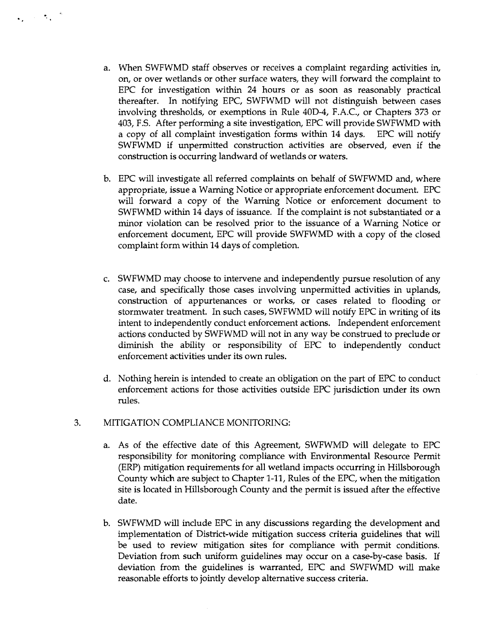- a. When SWFWMD staff observes or receives a complaint regarding activities in, on, or over wetlands or other surface waters, they will forward the complaint to EPC for investigation within 24 hours or as soon as reasonably practical thereafter. In notifying EPC, SWFWMD will not distinguish between cases involving thresholds, or exemptions in Rule 40D-4, F.A.C., or Chapters 373 or 403, F.S. After performing a site investigation, EPC will provide SWFWMD with a copy of all complaint investigation forms within 14 days. EPC will notify SWFWMD if unpermitted construction activities are observed, even if the construction is occurring landward of wetlands or waters.
- b. EPC will investigate all referred complaints on behalf of SWFWMD and, where appropriate, issue a Warning Notice or appropriate enforcement document. EPC will forward a copy of the Warning Notice or enforcement document to SWFWMD within 14 days of issuance. If the complaint is not substantiated or a minor violation can be resolved prior to the issuance of a Warning Notice or enforcement document, EPC will provide SWFWMD with a copy of the closed complaint form within 14 days of completion.
- c. SWFWMD may choose to intervene and independently pursue resolution of any case, and specifically those cases involving unpermitted activities in uplands, construction of appurtenances or works, or cases related to flooding or stormwater treatment. In such cases, SWFWMD will notify EPC in writing of its intent to independently conduct enforcement actions. Independent enforcement actions conducted by SWFWMD will not in any way be construed to preclude or diminish the ability or responsibility of EPC to independently conduct enforcement activities under its own rules.
- d. Nothing herein is intended to create an obligation on the part of EPC to conduct enforcement actions for those activities outside EPC jurisdiction under its own rules.

#### 3. MITIGATION COMPLIANCE MONITORING:

 $\mathbf{Q} = \mathbf{Q} \cdot \mathbf{Q} \mathbf{Q}^{-1}$ 

- a. As of the effective date of this Agreement, SWFWNID will delegate to EPC responsibility for monitoring compliance with Environmental Resource Permit (ERP) mitigation requirements for **all** wetland impacts occurring in Hillsborough County which are subject to Chapter 1-11, Rules of the EPC, when the mitigation site is located in Hillsborough County and the permit is issued after the effective date.
- b. SWFWMD will include EPC in any discussions regarding the development and implementation of District-wide mitigation success criteria guidelines that will be used to review mitigation sites for compliance with permit conditions. Deviation from such uniform guidelines may occur on a case-by-case basis. If deviation from the guidelines is warranted, EPC and SWFWMD will make reasonable efforts to jointly develop alternative success criteria.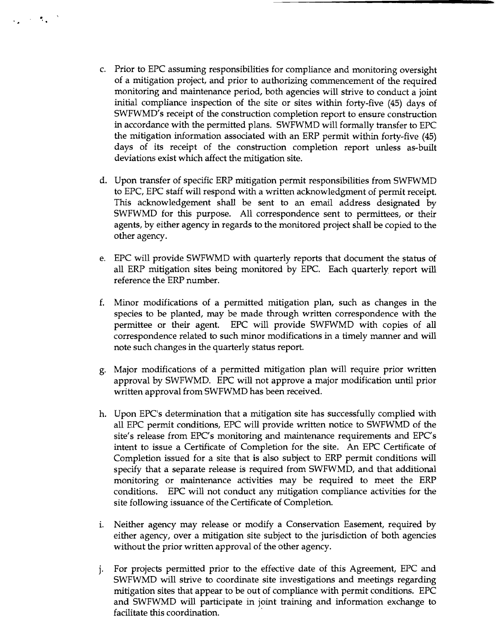Prior to EPC assuming responsibilities for compliance and monitoring oversight of a mitigation project, and prior to authorizing commencement of the required monitoring and maintenance period, both agencies will strive to conduct a joint initial compliance inspection of the site or sites within forty-five **(45)** days of SWFWMD's receipt of the construction completion report to ensure construction in accordance with the permitted plans. SWFWMD will formally transfer to EPC the mitigation information associated with an ERP permit within forty-five **(45)**  days of its receipt of the construction completion report unless as-built deviations exist which affect the mitigation site.

 $\mathcal{L}_{\mathbf{z}} = \mathcal{L}_{\mathbf{z}} \mathcal{L}_{\mathbf{z}}$ 

- Upon transfer of specific ERP mitigation permit responsibilities from SWFWMD to EPC, EPC staff will respond with a written acknowledgment of permit receipt. This acknowledgement shall be sent to an email address designated by SWFWMD for this purpose. All correspondence sent to permittees, or their agents, by either agency in regards to the monitored project shall be copied to the other agency.
- EPC will provide SWFWMD with quarterly reports that document the status of all ERP mitigation sites being monitored by EPC. Each quarterly report will reference the ERP number.
- Minor modifications of a permitted mitigation plan, such as changes in the species to be planted, may be made through written correspondence with the permittee or their agent. EPC will provide SWFWMD with copies of all correspondence related to such minor modifications in a timely manner and will note such changes in the quarterly status report.
- Major modifications of a permitted mitigation plan will require prior written approval by SWFWMD. EPC will not approve a major modification until prior written approval from SWFWMD has been received.
- Upon EPC's determination that a mitigation site has successfully complied with all EPC permit conditions, EPC will provide written notice to SWFWMD of the site's release from EPC's monitoring and maintenance requirements and EPC's intent to issue a Certificate of Completion for the site. An EPC Certificate of Completion issued for a site that is also subject to ERP permit conditions will specify that a separate release is required from SWFWMD, and that additional monitoring or maintenance activities may be required to meet the ERP conditions. EPC will not conduct any mitigation compliance activities for the site following issuance of the Certificate of Completion.
- i. Neither agency may release or modify a Conservation Easement, required by either agency, over a mitigation site subject to the jurisdiction of both agencies without the prior written approval of the other agency.
- For projects permitted prior to the effective date of this Agreement, EPC and SWFWMD will strive to coordinate site investigations and meetings regarding mitigation sites that appear to be out of compliance with permit conditions. EPC and SWFWMD will participate in joint training and information exchange to facilitate this coordination.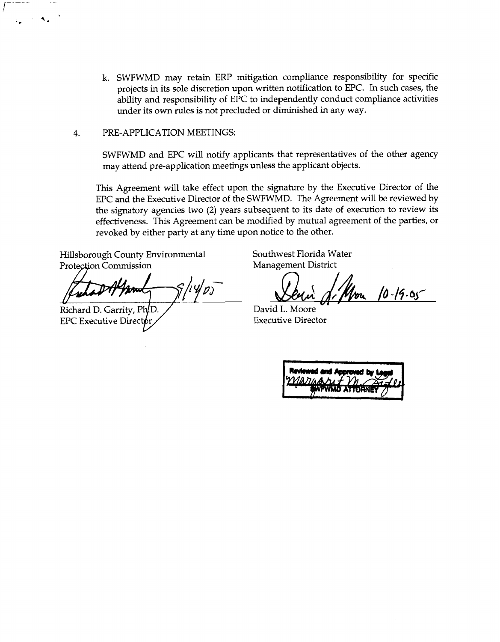- k. SWFWMD may retain ERP mitigation compliance responsibility for specific projects in its sole discretion upon written notification to EPC. In such cases, the ability and responsibility of EPC to independently conduct compliance activities under its own rules is not precluded or diminished in any way.
- 4. PRE-APPLICATION MEETINGS:

SWFWMD and EPC will notify applicants that representatives of the other agency may attend pre-application meetings unless the applicant objects.

This Agreement will take effect upon the signature by the Executive Director of the EPC and the Executive Director of the SWFWMD. The Agreement will be reviewed by the signatory agencies two (2) years subsequent to its date of execution to review its effectiveness. This Agreement can be modified by mutual agreement of the parties, or revoked by either party at any time upon notice to the other.

Hillsborough County Environmental Southwest Florida Water Protection Commission Management District

Fund of Primer S/14/*D* David L. Moore

Richard D. Garrity, Ph<sub>D</sub>. EPC Executive Director

 $\ddot{ }$  .

**YPJ- /b** -/\$- **6~~** 

| Reviewed and Approved by Legal<br>$22/10.71/10.4 \times 10^{-10}$<br>SWFWMD ATTORNEY |
|--------------------------------------------------------------------------------------|
|                                                                                      |
|                                                                                      |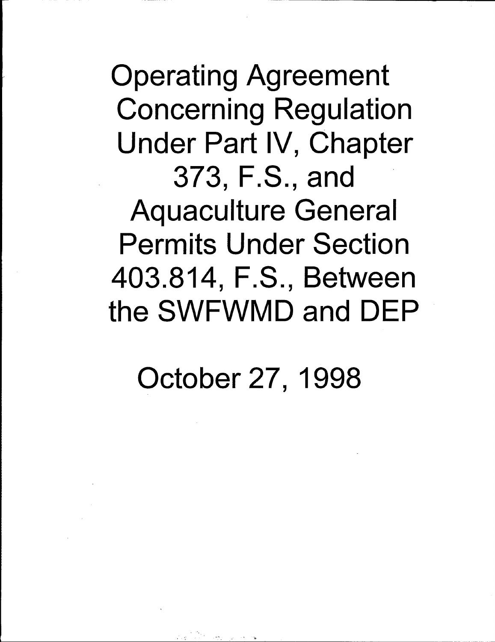**Operating Agreement Concerning Regulation** Under Part IV, Chapter 373, F.S., and **Aquaculture General Permits Under Section** 403.814, F.S., Between the SWFWMD and DEP

October 27, 1998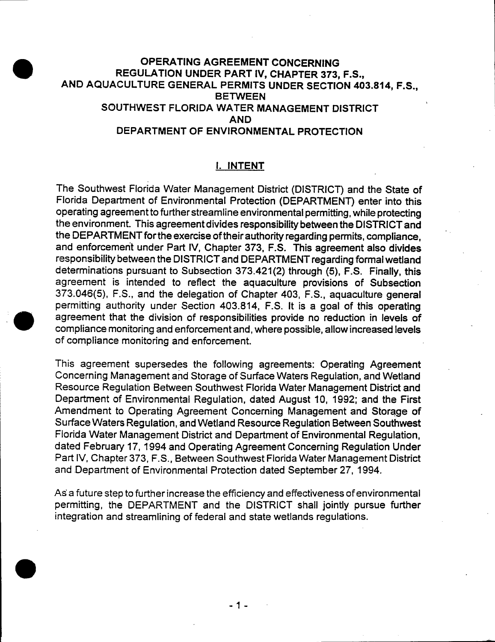## **OPERATING AGREEMENT CONCERNING** REGULATION UNDER PART IV, CHAPTER 373, F.S., AND AQUACULTURE GENERAL PERMITS UNDER SECTION 403.814, F.S., **BETWEEN** SOUTHWEST FLORIDA WATER MANAGEMENT DISTRICT **AND** DEPARTMENT OF ENVIRONMENTAL PROTECTION

### I. INTENT

The Southwest Florida Water Management District (DISTRICT) and the State of Florida Department of Environmental Protection (DEPARTMENT) enter into this operating agreement to further streamline environmental permitting, while protecting the environment. This agreement divides responsibility between the DISTRICT and the DEPARTMENT for the exercise of their authority regarding permits, compliance, and enforcement under Part IV, Chapter 373, F.S. This agreement also divides responsibility between the DISTRICT and DEPARTMENT regarding formal wetland determinations pursuant to Subsection 373.421(2) through (5), F.S. Finally, this agreement is intended to reflect the aquaculture provisions of Subsection 373.046(5), F.S., and the delegation of Chapter 403, F.S., aquaculture general permitting authority under Section 403.814, F.S. It is a goal of this operating agreement that the division of responsibilities provide no reduction in levels of compliance monitoring and enforcement and, where possible, allow increased levels of compliance monitoring and enforcement.

This agreement supersedes the following agreements: Operating Agreement Concerning Management and Storage of Surface Waters Regulation, and Wetland Resource Regulation Between Southwest Florida Water Management District and Department of Environmental Regulation, dated August 10, 1992; and the First Amendment to Operating Agreement Concerning Management and Storage of Surface Waters Regulation, and Wetland Resource Regulation Between Southwest Florida Water Management District and Department of Environmental Regulation, dated February 17, 1994 and Operating Agreement Concerning Regulation Under Part IV, Chapter 373, F.S., Between Southwest Florida Water Management District and Department of Environmental Protection dated September 27, 1994.

As a future step to further increase the efficiency and effectiveness of environmental permitting, the DEPARTMENT and the DISTRICT shall jointly pursue further integration and streamlining of federal and state wetlands regulations.



- 1 -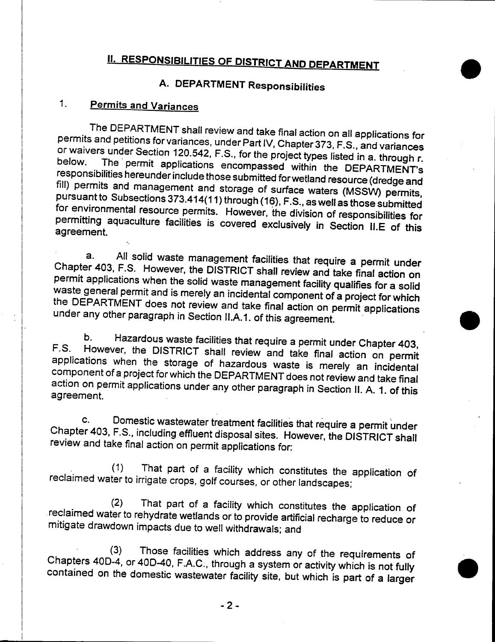# **II. RESPONSIBILITIES OF DISTRICT AND DEPARTMENT**

# A. DEPARTMENT Responsibilities

#### $1<sub>1</sub>$ **Permits and Variances**

The DEPARTMENT shall review and take final action on all applications for permits and petitions for variances, under Part IV, Chapter 373, F.S., and variances or waivers under Section 120.542, F.S., for the project types listed in a. through r. below. The permit applications encompassed within the DEPARTMENT's responsibilities hereunder include those submitted for wetland resource (dredge and fill) permits and management and storage of surface waters (MSSW) permits, pursuant to Subsections 373.414(11) through (16), F.S., as well as those submitted for environmental resource permits. However, the division of responsibilities for permitting aquaculture facilities is covered exclusively in Section II.E of this agreement.

All solid waste management facilities that require a permit under  $a.$ Chapter 403, F.S. However, the DISTRICT shall review and take final action on permit applications when the solid waste management facility qualifies for a solid waste general permit and is merely an incidental component of a project for which the DEPARTMENT does not review and take final action on permit applications under any other paragraph in Section II.A.1. of this agreement.

Hazardous waste facilities that require a permit under Chapter 403, b.  $F.S.$ However, the DISTRICT shall review and take final action on permit applications when the storage of hazardous waste is merely an incidental component of a project for which the DEPARTMENT does not review and take final action on permit applications under any other paragraph in Section II. A. 1. of this agreement.

Domestic wastewater treatment facilities that require a permit under  $\mathbf{C}$ . Chapter 403, F.S., including effluent disposal sites. However, the DISTRICT shall review and take final action on permit applications for:

That part of a facility which constitutes the application of  $(1)$ reclaimed water to irrigate crops, golf courses, or other landscapes;

That part of a facility which constitutes the application of  $(2)$ reclaimed water to rehydrate wetlands or to provide artificial recharge to reduce or mitigate drawdown impacts due to well withdrawals; and

Those facilities which address any of the requirements of  $(3)$ Chapters 40D-4, or 40D-40, F.A.C., through a system or activity which is not fully contained on the domestic wastewater facility site, but which is part of a larger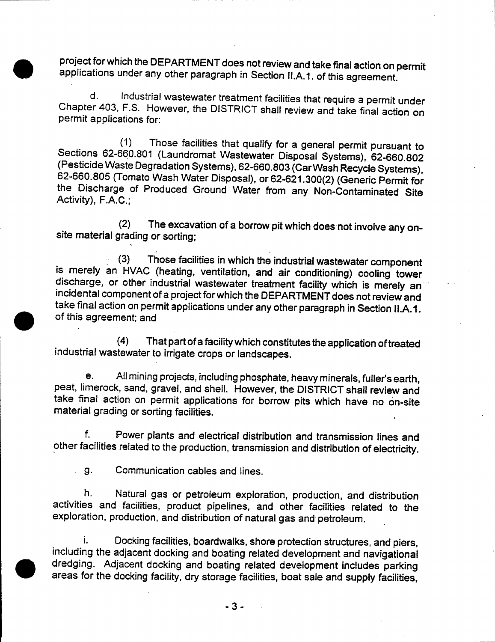project for which the DEPARTMENT does not review and take final action on permit applications under any other paragraph in Section II.A.1. of this agreement.

Industrial wastewater treatment facilities that require a permit under  $\mathsf{d}$ . Chapter 403, F.S. However, the DISTRICT shall review and take final action on permit applications for:

Those facilities that qualify for a general permit pursuant to  $(1)$ Sections 62-660.801 (Laundromat Wastewater Disposal Systems), 62-660.802 (Pesticide Waste Degradation Systems), 62-660.803 (Car Wash Recycle Systems), 62-660.805 (Tomato Wash Water Disposal), or 62-621.300(2) (Generic Permit for the Discharge of Produced Ground Water from any Non-Contaminated Site Activity), F.A.C.;

The excavation of a borrow pit which does not involve any on- $(2)$ site material grading or sorting;

Those facilities in which the industrial wastewater component  $(3)$ is merely an HVAC (heating, ventilation, and air conditioning) cooling tower discharge, or other industrial wastewater treatment facility which is merely an incidental component of a project for which the DEPARTMENT does not review and take final action on permit applications under any other paragraph in Section II.A.1. of this agreement; and

That part of a facility which constitutes the application of treated  $(4)$ industrial wastewater to irrigate crops or landscapes.

All mining projects, including phosphate, heavy minerals, fuller's earth, e. peat, limerock, sand, gravel, and shell. However, the DISTRICT shall review and take final action on permit applications for borrow pits which have no on-site material grading or sorting facilities.

 $f_{\cdot}$ Power plants and electrical distribution and transmission lines and other facilities related to the production, transmission and distribution of electricity.

g. Communication cables and lines.  $\mathbf{r}$ 

h. Natural gas or petroleum exploration, production, and distribution activities and facilities, product pipelines, and other facilities related to the exploration, production, and distribution of natural gas and petroleum.

i. Docking facilities, boardwalks, shore protection structures, and piers, including the adjacent docking and boating related development and navigational dredging. Adjacent docking and boating related development includes parking areas for the docking facility, dry storage facilities, boat sale and supply facilities,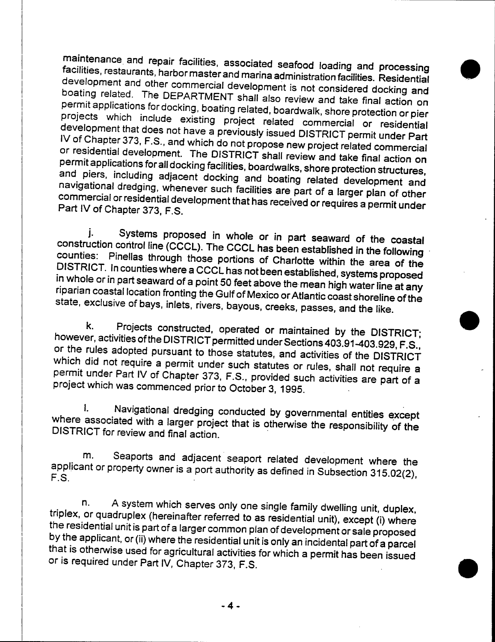maintenance and repair facilities, associated seafood loading and processing facilities, restaurants, harbor master and marina administration facilities. Residential development and other commercial development is not considered docking and boating related. The DEPARTMENT shall also review and take final action on permit applications for docking, boating related, boardwalk, shore protection or pier projects which include existing project related commercial or residential development that does not have a previously issued DISTRICT permit under Part IV of Chapter 373, F.S., and which do not propose new project related commercial or residential development. The DISTRICT shall review and take final action on permit applications for all docking facilities, boardwalks, shore protection structures, and piers, including adjacent docking and boating related development and navigational dredging, whenever such facilities are part of a larger plan of other commercial or residential development that has received or requires a permit under Part IV of Chapter 373, F.S.

Systems proposed in whole or in part seaward of the coastal j. construction control line (CCCL). The CCCL has been established in the following counties: Pinellas through those portions of Charlotte within the area of the DISTRICT. In counties where a CCCL has not been established, systems proposed in whole or in part seaward of a point 50 feet above the mean high water line at any riparian coastal location fronting the Gulf of Mexico or Atlantic coast shoreline of the state, exclusive of bays, inlets, rivers, bayous, creeks, passes, and the like.

k. Projects constructed, operated or maintained by the DISTRICT; however, activities of the DISTRICT permitted under Sections 403.91-403.929, F.S., or the rules adopted pursuant to those statutes, and activities of the DISTRICT which did not require a permit under such statutes or rules, shall not require a permit under Part IV of Chapter 373, F.S., provided such activities are part of a project which was commenced prior to October 3, 1995.

Navigational dredging conducted by governmental entities except L. where associated with a larger project that is otherwise the responsibility of the DISTRICT for review and final action.

Seaports and adjacent seaport related development where the m. applicant or property owner is a port authority as defined in Subsection 315.02(2),  $F.S.$ 

A system which serves only one single family dwelling unit, duplex, n. triplex, or quadruplex (hereinafter referred to as residential unit), except (i) where the residential unit is part of a larger common plan of development or sale proposed by the applicant, or (ii) where the residential unit is only an incidental part of a parcel that is otherwise used for agricultural activities for which a permit has been issued or is required under Part IV, Chapter 373, F.S.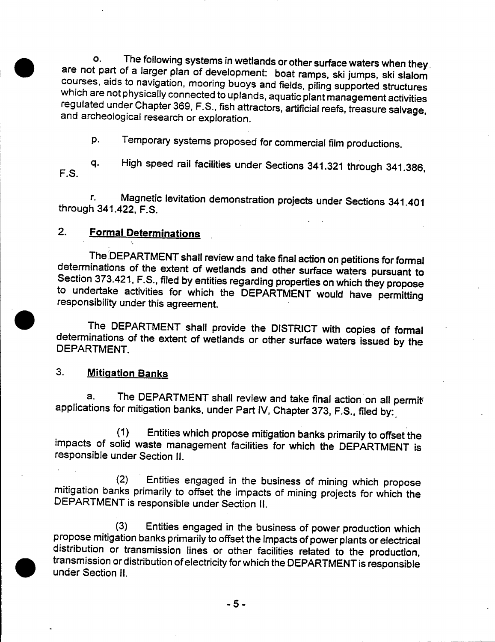The following systems in wetlands or other surface waters when they  $\mathbf{o}$ . are not part of a larger plan of development: boat ramps, ski jumps, ski slalom courses, aids to navigation, mooring buoys and fields, piling supported structures which are not physically connected to uplands, aquatic plant management activities regulated under Chapter 369, F.S., fish attractors, artificial reefs, treasure salvage, and archeological research or exploration.

Temporary systems proposed for commercial film productions. D.

High speed rail facilities under Sections 341.321 through 341.386, q. F.S.

Magnetic levitation demonstration projects under Sections 341.401 r. through 341.422, F.S.

#### $2.$ **Formal Determinations**

The DEPARTMENT shall review and take final action on petitions for formal determinations of the extent of wetlands and other surface waters pursuant to Section 373.421, F.S., filed by entities regarding properties on which they propose to undertake activities for which the DEPARTMENT would have permitting responsibility under this agreement.

The DEPARTMENT shall provide the DISTRICT with copies of formal determinations of the extent of wetlands or other surface waters issued by the DEPARTMENT.

#### $3<sub>1</sub>$ **Mitigation Banks**

The DEPARTMENT shall review and take final action on all permit  $a.$ applications for mitigation banks, under Part IV, Chapter 373, F.S., filed by:

 $(1)$ Entities which propose mitigation banks primarily to offset the impacts of solid waste management facilities for which the DEPARTMENT is responsible under Section II.

Entities engaged in the business of mining which propose  $(2)$ mitigation banks primarily to offset the impacts of mining projects for which the DEPARTMENT is responsible under Section II.

 $(3)$ Entities engaged in the business of power production which propose mitigation banks primarily to offset the impacts of power plants or electrical distribution or transmission lines or other facilities related to the production, transmission or distribution of electricity for which the DEPARTMENT is responsible under Section II.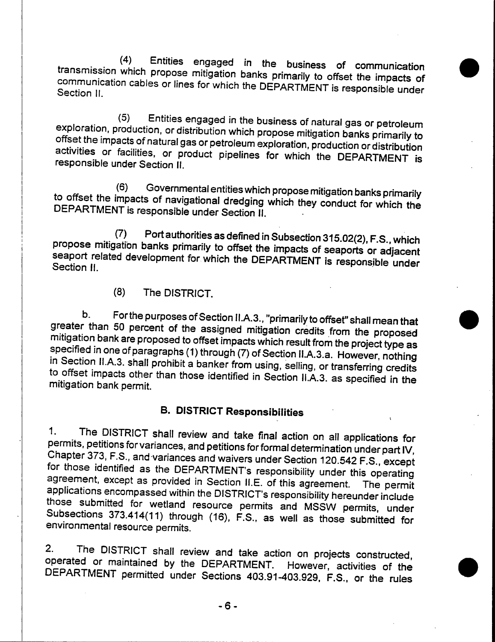$(4)$ Entities engaged in the business of communication transmission which propose mitigation banks primarily to offset the impacts of communication cables or lines for which the DEPARTMENT is responsible under Section II.

Entities engaged in the business of natural gas or petroleum  $(5)$ exploration, production, or distribution which propose mitigation banks primarily to offset the impacts of natural gas or petroleum exploration, production or distribution activities or facilities, or product pipelines for which the DEPARTMENT is responsible under Section II.

Governmental entities which propose mitigation banks primarily  $(6)$ to offset the impacts of navigational dredging which they conduct for which the DEPARTMENT is responsible under Section II.

Port authorities as defined in Subsection 315.02(2), F.S., which  $(7)$ propose mitigation banks primarily to offset the impacts of seaports or adjacent seaport related development for which the DEPARTMENT is responsible under Section II.

> $(8)$ The DISTRICT.

For the purposes of Section II.A.3., "primarily to offset" shall mean that b. greater than 50 percent of the assigned mitigation credits from the proposed mitigation bank are proposed to offset impacts which result from the project type as specified in one of paragraphs (1) through (7) of Section II.A.3.a. However, nothing in Section II.A.3. shall prohibit a banker from using, selling, or transferring credits to offset impacts other than those identified in Section II.A.3. as specified in the mitigation bank permit.

# **B. DISTRICT Responsibilities**

The DISTRICT shall review and take final action on all applications for  $\mathbf{1}$ . permits, petitions for variances, and petitions for formal determination under part IV, Chapter 373, F.S., and variances and waivers under Section 120.542 F.S., except for those identified as the DEPARTMENT's responsibility under this operating agreement, except as provided in Section II.E. of this agreement. The permit applications encompassed within the DISTRICT's responsibility hereunder include those submitted for wetland resource permits and MSSW permits, under Subsections 373.414(11) through (16), F.S., as well as those submitted for environmental resource permits.

 $2<sub>1</sub>$ The DISTRICT shall review and take action on projects constructed, operated or maintained by the DEPARTMENT. However, activities of the DEPARTMENT permitted under Sections 403.91-403.929, F.S., or the rules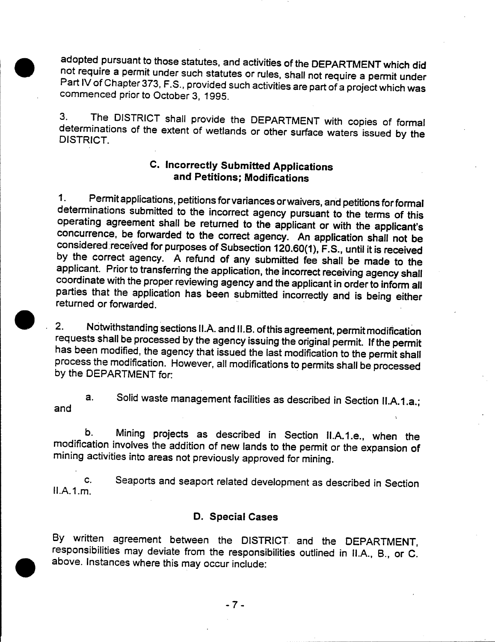adopted pursuant to those statutes, and activities of the DEPARTMENT which did not require a permit under such statutes or rules, shall not require a permit under Part IV of Chapter 373, F.S., provided such activities are part of a project which was commenced prior to October 3, 1995.

The DISTRICT shall provide the DEPARTMENT with copies of formal 3. determinations of the extent of wetlands or other surface waters issued by the **DISTRICT** 

## **C. Incorrectly Submitted Applications** and Petitions; Modifications

Permit applications, petitions for variances or waivers, and petitions for formal  $\mathbf{1}$ . determinations submitted to the incorrect agency pursuant to the terms of this operating agreement shall be returned to the applicant or with the applicant's concurrence, be forwarded to the correct agency. An application shall not be considered received for purposes of Subsection 120.60(1), F.S., until it is received by the correct agency. A refund of any submitted fee shall be made to the applicant. Prior to transferring the application, the incorrect receiving agency shall coordinate with the proper reviewing agency and the applicant in order to inform all parties that the application has been submitted incorrectly and is being either returned or forwarded.

Notwithstanding sections II.A. and II.B. of this agreement, permit modification  $2.$ requests shall be processed by the agency issuing the original permit. If the permit has been modified, the agency that issued the last modification to the permit shall process the modification. However, all modifications to permits shall be processed by the DEPARTMENT for:

Solid waste management facilities as described in Section II.A.1.a.;  $a.$ and

Mining projects as described in Section II.A.1.e., when the b. modification involves the addition of new lands to the permit or the expansion of mining activities into areas not previously approved for mining.

Seaports and seaport related development as described in Section  $C_{\cdot}$  $II.A.1.m.$ 

#### **D. Special Cases**

By written agreement between the DISTRICT and the DEPARTMENT, responsibilities may deviate from the responsibilities outlined in II.A., B., or C. above. Instances where this may occur include:

 $-7-$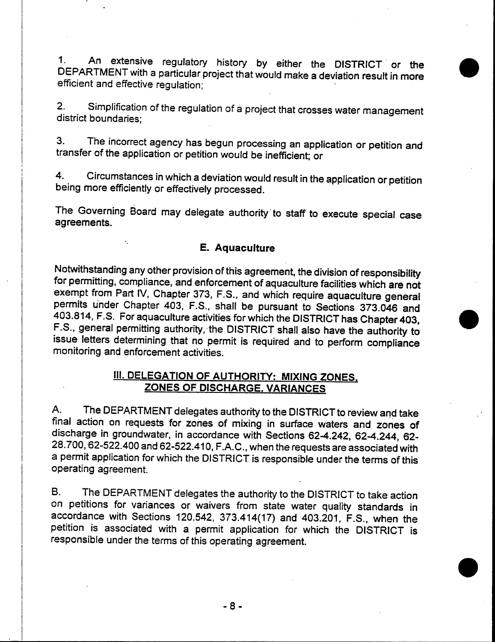An extensive regulatory history by either the DISTRICT or the  $1<sub>1</sub>$ DEPARTMENT with a particular project that would make a deviation result in more efficient and effective regulation;

Simplification of the regulation of a project that crosses water management  $2.$ district boundaries;

The incorrect agency has begun processing an application or petition and  $3<sub>1</sub>$ transfer of the application or petition would be inefficient; or

Circumstances in which a deviation would result in the application or petition  $4.$ being more efficiently or effectively processed.

The Governing Board may delegate authority to staff to execute special case agreements.

#### E. Aquaculture

Notwithstanding any other provision of this agreement, the division of responsibility for permitting, compliance, and enforcement of aquaculture facilities which are not exempt from Part IV, Chapter 373, F.S., and which require aquaculture general permits under Chapter 403, F.S., shall be pursuant to Sections 373.046 and 403.814, F.S. For aquaculture activities for which the DISTRICT has Chapter 403, F.S., general permitting authority, the DISTRICT shall also have the authority to issue letters determining that no permit is required and to perform compliance monitoring and enforcement activities.

## **III. DELEGATION OF AUTHORITY: MIXING ZONES,** ZONES OF DISCHARGE, VARIANCES

The DEPARTMENT delegates authority to the DISTRICT to review and take Α. final action on requests for zones of mixing in surface waters and zones of discharge in groundwater, in accordance with Sections 62-4.242, 62-4.244, 62-28.700, 62-522.400 and 62-522.410, F.A.C., when the requests are associated with a permit application for which the DISTRICT is responsible under the terms of this operating agreement.

The DEPARTMENT delegates the authority to the DISTRICT to take action В. on petitions for variances or waivers from state water quality standards in accordance with Sections 120.542, 373.414(17) and 403.201, F.S., when the petition is associated with a permit application for which the DISTRICT is responsible under the terms of this operating agreement.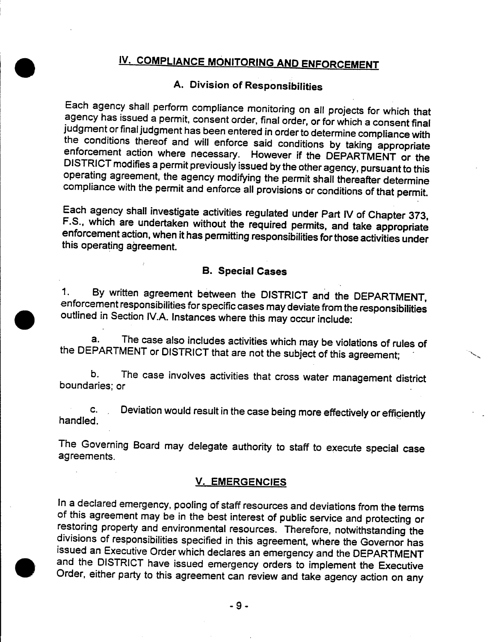# IV. COMPLIANCE MONITORING AND ENFORCEMENT

# A. Division of Responsibilities

Each agency shall perform compliance monitoring on all projects for which that agency has issued a permit, consent order, final order, or for which a consent final judgment or final judgment has been entered in order to determine compliance with the conditions thereof and will enforce said conditions by taking appropriate enforcement action where necessary. However if the DEPARTMENT or the DISTRICT modifies a permit previously issued by the other agency, pursuant to this operating agreement, the agency modifying the permit shall thereafter determine compliance with the permit and enforce all provisions or conditions of that permit.

Each agency shall investigate activities regulated under Part IV of Chapter 373, F.S., which are undertaken without the required permits, and take appropriate enforcement action, when it has permitting responsibilities for those activities under this operating agreement.

#### **B. Special Cases**

By written agreement between the DISTRICT and the DEPARTMENT,  $\mathbf 1$ . enforcement responsibilities for specific cases may deviate from the responsibilities outlined in Section IV.A. Instances where this may occur include:

The case also includes activities which may be violations of rules of a. the DEPARTMENT or DISTRICT that are not the subject of this agreement;

The case involves activities that cross water management district b. boundaries; or

Deviation would result in the case being more effectively or efficiently C. handled.

The Governing Board may delegate authority to staff to execute special case agreements.

#### **V. EMERGENCIES**

In a declared emergency, pooling of staff resources and deviations from the terms of this agreement may be in the best interest of public service and protecting or restoring property and environmental resources. Therefore, notwithstanding the divisions of responsibilities specified in this agreement, where the Governor has issued an Executive Order which declares an emergency and the DEPARTMENT and the DISTRICT have issued emergency orders to implement the Executive Order, either party to this agreement can review and take agency action on any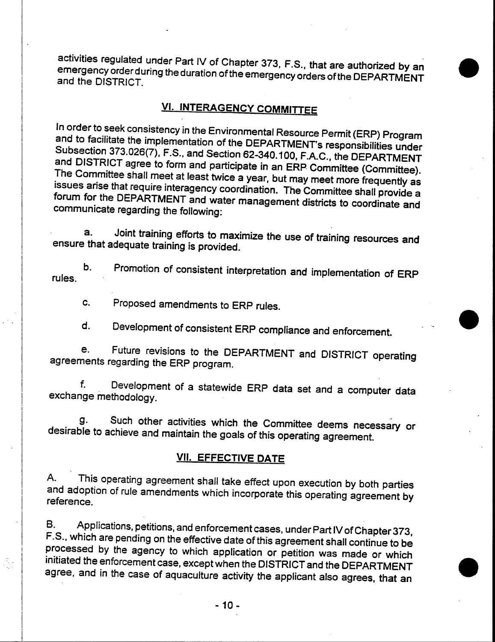activities regulated under Part IV of Chapter 373, F.S., that are authorized by an emergency order during the duration of the emergency orders of the DEPARTMENT and the DISTRICT.

## **VI. INTERAGENCY COMMITTEE**

In order to seek consistency in the Environmental Resource Permit (ERP) Program and to facilitate the implementation of the DEPARTMENT's responsibilities under Subsection 373.026(7), F.S., and Section 62-340.100, F.A.C., the DEPARTMENT and DISTRICT agree to form and participate in an ERP Committee (Committee). The Committee shall meet at least twice a year, but may meet more frequently as issues arise that require interagency coordination. The Committee shall provide a forum for the DEPARTMENT and water management districts to coordinate and communicate regarding the following:

Joint training efforts to maximize the use of training resources and a. ensure that adequate training is provided.

Promotion of consistent interpretation and implementation of ERP b. rules.

Proposed amendments to ERP rules. C.

d. Development of consistent ERP compliance and enforcement.

Future revisions to the DEPARTMENT and DISTRICT operating e. agreements regarding the ERP program.

 $f_{\cdot}$ Development of a statewide ERP data set and a computer data exchange methodology.

Such other activities which the Committee deems necessary or g. desirable to achieve and maintain the goals of this operating agreement.

### **VII. EFFECTIVE DATE**

A. This operating agreement shall take effect upon execution by both parties and adoption of rule amendments which incorporate this operating agreement by reference.

Applications, petitions, and enforcement cases, under Part IV of Chapter 373, В. F.S., which are pending on the effective date of this agreement shall continue to be processed by the agency to which application or petition was made or which initiated the enforcement case, except when the DISTRICT and the DEPARTMENT agree, and in the case of aquaculture activity the applicant also agrees, that an